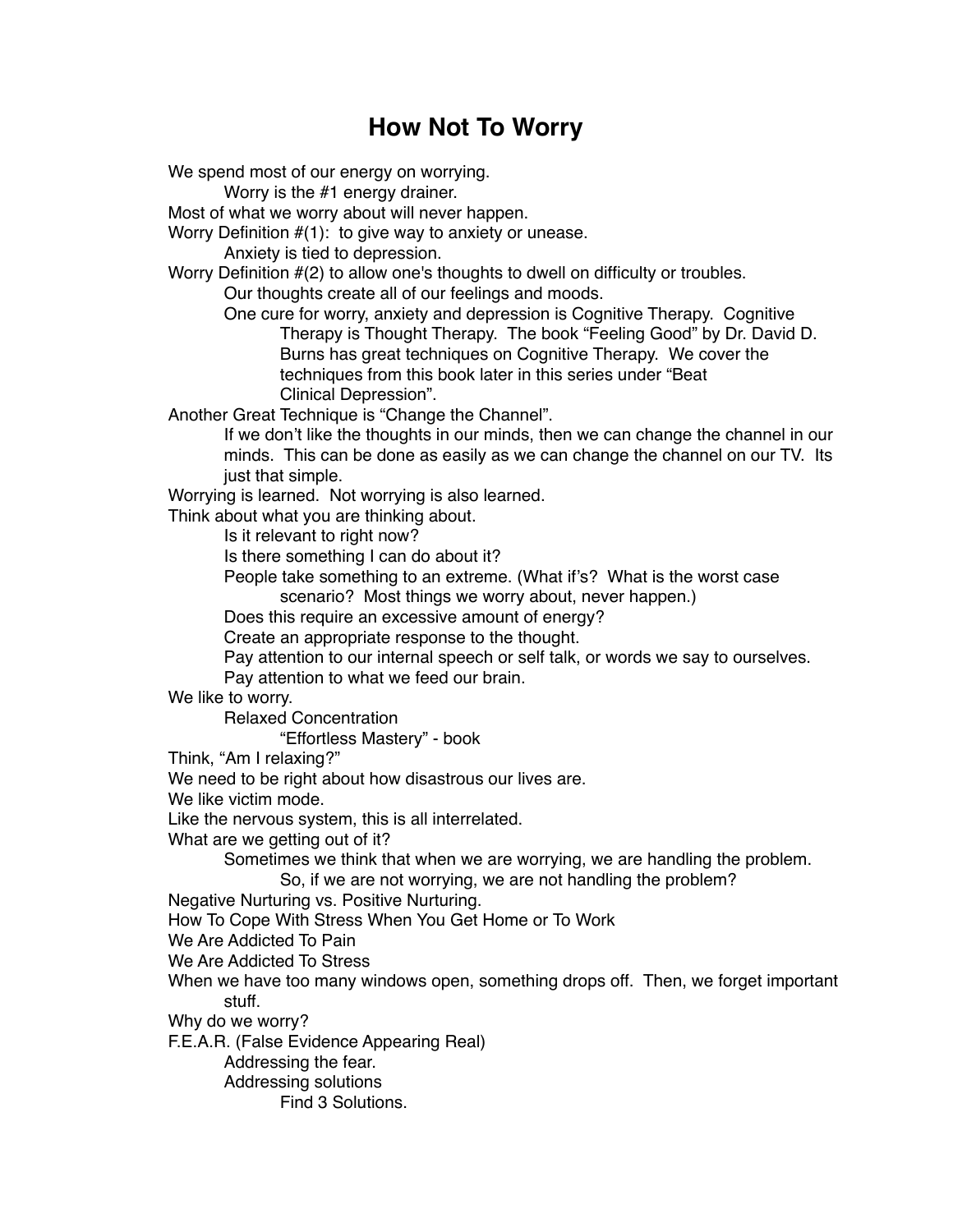## **How Not To Worry**

We spend most of our energy on worrying.

Worry is the #1 energy drainer.

Most of what we worry about will never happen.

Worry Definition #(1): to give way to anxiety or unease.

Anxiety is tied to depression.

Worry Definition #(2) to allow one's thoughts to dwell on difficulty or troubles.

Our thoughts create all of our feelings and moods.

One cure for worry, anxiety and depression is Cognitive Therapy. Cognitive Therapy is Thought Therapy. The book "Feeling Good" by Dr. David D. Burns has great techniques on Cognitive Therapy. We cover the techniques from this book later in this series under "Beat Clinical Depression".

Another Great Technique is "Change the Channel".

If we don't like the thoughts in our minds, then we can change the channel in our minds. This can be done as easily as we can change the channel on our TV. Its just that simple.

Worrying is learned. Not worrying is also learned.

Think about what you are thinking about.

Is it relevant to right now?

Is there something I can do about it?

People take something to an extreme. (What if's? What is the worst case scenario? Most things we worry about, never happen.)

Does this require an excessive amount of energy?

Create an appropriate response to the thought.

Pay attention to our internal speech or self talk, or words we say to ourselves.

Pay attention to what we feed our brain.

We like to worry.

Relaxed Concentration

"Effortless Mastery" - book

Think, "Am I relaxing?"

We need to be right about how disastrous our lives are.

We like victim mode.

Like the nervous system, this is all interrelated.

What are we getting out of it?

Sometimes we think that when we are worrying, we are handling the problem.

So, if we are not worrying, we are not handling the problem?

Negative Nurturing vs. Positive Nurturing.

How To Cope With Stress When You Get Home or To Work

We Are Addicted To Pain

We Are Addicted To Stress

When we have too many windows open, something drops off. Then, we forget important stuff.

Why do we worry?

F.E.A.R. (False Evidence Appearing Real)

Addressing the fear.

Addressing solutions

Find 3 Solutions.